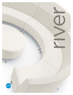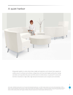#### A quiet harbor



Bring people together in a place where ideas, insight and inspiration can be shared. River supports an endless array of curvilinear and rectilinear configurations with three back heights and benches. Seating and tables can be specified with power and USB outlets for mobile devises. An optional HT construction lets River overachieve in high traffic, high demand environments such as airports and universities.

> river z<br>2<br>2<br>2<br>2  $\overline{2}$

Left to right: 7710NAW3 Armless Inside Curve Two-Seat Sofa Standard Back right power. 2 x 7710NA Armless Inside Curve Two-Seat Sofa Standard Back. 7739W4 Inside Curve Wide Wedge End Table rear power in White Chocolate (WHC) with Tungsten (TUN) Base. 7711NA Armless Inside Curve Two-Seat Sofa High Back, headrest shown in Allante, Bisque (A42E). All seats shown in Allante, Bisque (A42E) and backs shown in Momentum Odyssey, Rue (OD53). 7735W2 42" Diameter Round Table shown in White Chocolate (WHC) with Tungsten (TUN) Base. All power modules shown in White receptacle with White face plate.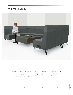#### We meet again



We meet, we work and we meet again, our schedules a constant flow of people, process and communication. We're a small group, then a larger group and then it's time out to collect ourselves before moving on. Flexible and adaptable, changing it up to reflect the change happening around us, we are the river, rushing to a quiet harbor.



Left to right: 7705NAJ3 Armless Two-Seat Sofa High Back right power. 2 x 7717 Armless Corner Unit, High Back. 7708NA Armless Three-Seat Sofa High Back. 7705NAJ1 Armless Two-seat Sofa High Back left power. All power modules shown in Jet Black receptacle with Jet Black face plate. All seats and backs shown in Momentum<br>Odyssey, Rue (OD53), Headrests shown in Allante, Ash (A44E). Legs Asian Night (ASN) with Black (BLK) legs.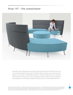#### River™ HT - the overachiever



Universities, hotels, shopping centers and airports require solutions that can with-stand the wear and tear of these demanding environments. River HT (High Traffic) is an optional construction format that performs at three times the ANSI BIFMA standard for commercial applications and is backed by Global's Heavy Duty Warranty. The HT spec is available for all River models at a modest upcharge and recommended for use with textiles and synthetic surfaces that meet or exceed 300,000 double rubs.

> river 4<br>4<br>Ariel

Counter clockwise from front to back: 7776 High Traffic Armless Inside Curve Two-Seat Bench, 2 x 7761NA High Traffic Armless Inside Curve Two-Seat Sofa High Back, 7776 High Traffic Armless Inside Curve Two-Seat Bench, 7762NA High Traffic Armless Inside Curve Two-Seat Sofa Extended High Back, 7762NAW1 High Traffic Armless<br>Inside Curve Two-Seat Sofa Extended High Back left power. 7780 headrests shown in Momentum Infinity, Graphite (IN95) with Chrome (CHM) legs. All power modules shown in White receptacle with White face plate.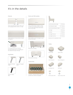## It's in the details



Quick connect/disconnect feature. When not in use the ganging hardware swivels out of sight.



Double stitching on all seams enhance strength and longevity.



6½" tall legs allow for ease of cleaning. Each leg is equipped with a non-marking poly foot suitable for all types of flooring.

#### Leg finishes



Standard in Chrome (CHM).

Optional in Tungsten (TUN).



Optional in Black (BLK).

#### Features **Power and USB modules**



and tables. Each module includes two power and two double USB terminals. Power shown above on top of table.



Power available on side of rectangular, square and half round tables.





Shown above on benching.

#### Construction



A synthetic, rubberized webbed suspension provides extra comfort and longevity.



| Overall Standard Back height                  | 32"/813 mm    |
|-----------------------------------------------|---------------|
| Overall High Back height                      | 41.5"/1054 mm |
| Overall Extended High Back height 47"/1194 mm |               |
| Seat height                                   | 18"/457 mm    |
| Seat depth                                    | 19"/483 mm    |
| Arm height from seat                          | 6.5"/165 mm   |
| Arm height from floor                         | 24.5"/622 mm  |

*Dimensions will vary depending on model.*







Tables

Wide Wedge End Narrow Wedge End



Rectangular End

Half Round

dilib

Round Laptop Table Square Laptop Table

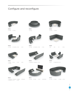# Configure and reconfigure



4 [7710NA] 1 [7737W4] 8 [7714NA] **RVR101 RVR102 RVR103**



2 [7712NA] 2 [7712NAW3] 2 [7726] 1 [7734] **RVR104 RVR105 RVR106**





4 [7711NA] 2 [7712NAW3] 1 [7738] 2 [7743]



6 [7712NA] 1 [7734W2]



7709R 7709L 7718 7732W2



**RVR108**









1 [7731W2]

1 [7704NA] 2 [7716] 1 [7725] 1 [7728] 2 [7702] 2 [7708NAW1W3]1 [7733] 2 [7708NAW3] 2 [7708NAW1] 2 [7745]













**RVR110** 1 [7705NAW3] 1 [7705NAW1] 1 [7708NA] 1 [7708NAW3] 1 [7708NAW1] 2 [7717] 3 [7745]



2 [7701NA] 4 [7710NA] 2 [7743] 2 [PN2760NGS]



river 6river loba  $\overline{6}$ 

**RVR112** 2 [7711NA] 6 [7712NA] 1 [7709NA] 2 [7734]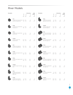| Description |                                                                           | W         | D                    | <b>Dimensions</b><br>н | Seat<br>Height | Description |
|-------------|---------------------------------------------------------------------------|-----------|----------------------|------------------------|----------------|-------------|
|             |                                                                           | IN<br>mm  | IN<br>mm             | IN<br>mm               | IN<br>mm       |             |
|             | 7701<br>Lounge Chair Standard Back 29.5 29.5<br>with left and right arms. |           | 749 749              | 32<br>813              | 18<br>457      |             |
|             | 7701R<br>Lounge Chair Standard Back 27 29.5<br>with right arm.            |           | 686 749              | 32<br>813              | 18<br>457      |             |
|             | 7701L<br>Lounge Chair Standard Back 27 29.5<br>with left arm.             |           | 686 749              | 32<br>813              | 18<br>457      |             |
|             | 7701NA<br>Armless Lounge Chair<br>Standard Back.                          |           | 24.5 29.5<br>622 749 | 32<br>813              | 18<br>457      |             |
|             | 7702<br>Lounge Chair High Back<br>with left and right arms.               |           | 29.5 29.5<br>749 749 | 41.5<br>1054           | 18<br>457      |             |
|             | 7702R<br>Lounge Chair High Back with 27 29.5<br>right arm.                |           | 686 749              | 41.5<br>1054           | 18<br>457      |             |
|             | 7702L<br>Lounge Chair High Back with 27 29.5<br>left arm.                 |           | 686 749              | 41.5<br>1054           | 18<br>457      |             |
|             | 7702NA<br>Armless Lounge Chair High 24.5 29.5<br>Back.                    | 622       | 749                  | 41.5<br>1054           | 18<br>457      |             |
|             | 7703<br>Lounge Chair Extended<br>High Back with left and<br>right arms.   |           | 29.5 29.5<br>749 749 | 47<br>1194             | 18<br>457      |             |
|             | 7703R<br>Lounge Chair Extended<br>High Back with right arm.               | 27<br>686 | 29.5<br>749          | 47<br>1194             | 18<br>457      |             |

|                                                                     | W<br>IN<br>mm | D<br>IN<br>mm       | н<br>IN<br>mm | Height<br>IN<br>mm |
|---------------------------------------------------------------------|---------------|---------------------|---------------|--------------------|
| 7703L<br>Lounge Chair Extended<br>High Back with left arm.          | 686 749       | 27 29.5             | 47<br>1194    | 18<br>457          |
| 7703NA<br>Armless Lounge Chair<br>Extended High Back.               | 24.5 29.5     | 622 749             | 47<br>1194    | 18<br>457          |
| 7704<br>Two-seat Sofa Standard<br>Back with left and right<br>arms. | 53.5 29.5     | 1359 749            | 32<br>81      | 18<br>457          |
| 7704R<br>Two-seat Sofa Standard<br>Back with right arm.             |               | 51 29.5<br>1295 749 | 32<br>813     | 18<br>457          |
| 7704L<br>Two-seat Sofa Standard<br>Back with left arm.              |               | 51 29.5<br>1295 749 | 32<br>813     | 18<br>457          |
| 7704NA<br>Armless Two-seat Sofa<br>Standard Back.                   | 48.5 29.5     | 1232 749            | 32<br>813     | 18<br>457          |
| 7705<br>Two-seat Sofa High Back<br>with left and right arms.        | 53.5 29.5     | 1359 749            | 41.5<br>1054  | 18<br>457          |
| 7705R<br>Two-seat Sofa High Back<br>with right arm.                 | 1295          | 51 29.5<br>749      | 41.5<br>1054  | 18<br>457          |
| 7705L<br>Two-seat Sofa High Back<br>with left arm.                  |               | 51 29.5<br>1295 749 | 41.5<br>1054  | 18<br>457          |
| 7705NA<br>Armless Two-seat Sofa<br>High Back.                       | 48.5 29.5     | 1232 749            | 41.5<br>1054  | 18<br>457          |

**Dimensions**

**Seat** 

river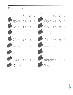| Description |                                                 |           |                     | <b>Dimensions</b> | Seat      | Description |
|-------------|-------------------------------------------------|-----------|---------------------|-------------------|-----------|-------------|
|             |                                                 | W         | D                   | н                 | Height    |             |
|             |                                                 | IN        | IN                  | IN                | IN        |             |
|             |                                                 | mm        | mm                  | mm                | mm        |             |
|             | 7706                                            |           |                     |                   |           |             |
|             | Two-seat Sofa Extended                          |           | 53.5 29.5           | 47                | 18        |             |
|             | High Back with left and<br>right arms.          |           | 1359 749            | 1194              | 457       |             |
|             | 7706R                                           |           |                     |                   |           |             |
|             | Two-seat Sofa Extended                          |           | 51 29.5             | 47                | 18        |             |
|             | High Back with right arm. 1295 749              |           |                     | 1194              | 457       |             |
|             |                                                 |           |                     |                   |           |             |
|             | 7706L                                           |           |                     |                   |           |             |
|             | Two-seat Sofa Extended                          |           | 51 29.5             | 47                | 18        |             |
|             | High Back with left arm.                        |           | 1295 749            | 1194              | 457       |             |
|             |                                                 |           |                     |                   |           |             |
|             | 7706NA                                          |           |                     |                   |           |             |
|             | Armless Two-seat Sofa<br>Extended High Back.    | 48.5 29.5 | 1232 749            | 47<br>1194        | 18<br>457 |             |
|             |                                                 |           |                     |                   |           |             |
|             | 7707                                            |           |                     |                   |           |             |
|             | Three-seat Sofa Standard                        | 77.5 29.5 |                     | 32                | 18        |             |
|             | Back with left and right<br>arms.               |           | 1969 749            | 813               | 457       |             |
|             |                                                 |           |                     |                   |           |             |
|             | 7707R                                           |           |                     |                   |           |             |
|             | Three-seat Sofa Standard                        | 75 29.5   |                     | 32                | 18        |             |
|             | Back with right arm.                            |           | 1905 749            | 813               | 457       |             |
|             |                                                 |           |                     |                   |           |             |
|             | 7707L                                           |           |                     |                   |           |             |
|             | Three-seat Sofa Standard<br>Back with left arm. |           | 75 29.5<br>1905 749 | 32<br>813         | 18<br>457 |             |
|             |                                                 |           |                     |                   |           |             |
|             | 7707NA                                          |           |                     |                   |           |             |
|             | Armless Three-seat Sofa                         |           | 72.5 29.5           | 32                | 18        |             |
|             | Standard Back.                                  | 1842      | 749                 | 813               | 457       |             |

| cription |                                                                                | w<br>IN               | D<br>IN | Dimensions<br>H<br>IN | Seat<br>Height<br>IN |
|----------|--------------------------------------------------------------------------------|-----------------------|---------|-----------------------|----------------------|
|          |                                                                                | mm                    | mm      | mm                    | mm                   |
|          | 7708<br>Three-seat Sofa High<br>Back with left and<br>right arms.              | 77.5 29.5<br>1969 749 |         | 41.5<br>1054          | 18<br>457            |
|          | 7708R<br>Three-seat Sofa High<br>Back with right arm. 1905 749                 | 75 29.5               |         | 41.5<br>1054          | 18<br>457            |
|          | 7708L<br>Three-seat Sofa High 75 29.5<br>Back with left arm. 1905 749          |                       |         | 41.5<br>1054          | 18<br>457            |
|          | 7708NA<br>Armless Three-seat<br>Sofa High Back                                 | 72.5 29.5<br>1842 749 |         | 41.5<br>1054          | 18<br>457            |
|          | 7709<br>Three-seat Sofa<br>Extended High Back<br>with left and right arms.     | 77.5 29.5<br>1969 749 |         | 47<br>1194            | 18<br>457            |
|          | 7709R<br>Three-seat Sofa<br>Extended High Back 1905 749<br>with right arm.     |                       | 75 29.5 | 47<br>1194            | 18<br>457            |
|          | 7709L<br>Three-seat Sofa Extended 75 29.5<br>High Back with left arm. 1905 749 |                       |         | 47<br>1194            | 18<br>457            |
|          | 7709NA<br>Armless Three-seat Sofa 72.5 29.5<br>Extended High Back.             | 1842 749              |         | 47<br>1194            | 18<br>457            |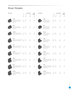| Description |                                                       |      | Seat<br>Dimensions |           |           | Description |  |  |
|-------------|-------------------------------------------------------|------|--------------------|-----------|-----------|-------------|--|--|
|             |                                                       | W    | D                  | H         | Height    |             |  |  |
|             |                                                       | IN   | IN                 | $\sf IN$  | IN        |             |  |  |
|             |                                                       | mm   | mm                 | mm        | mm        |             |  |  |
|             | 7710R                                                 |      |                    |           |           |             |  |  |
|             | Inside Curve Two-Seat                                 |      | 57 29.5            | 32        | 18        |             |  |  |
|             | Sofa Standard Back with                               | 1448 | 749                | 813       | 457       |             |  |  |
|             | right arm.                                            |      |                    |           |           |             |  |  |
|             | 7710L                                                 |      |                    |           |           |             |  |  |
|             | Inside Curve Two-Seat                                 |      | 57 29.5            | 32        | 18        |             |  |  |
|             | Sofa Standard Back with<br>left arm.                  | 1448 | 749                | 813       | 457       |             |  |  |
|             |                                                       |      |                    |           |           |             |  |  |
|             | 7710NA                                                |      |                    |           |           |             |  |  |
|             | Armless Inside Curve Two-<br>Seat Sofa Standard Back. | 55   | 29.5               | 32<br>813 | 18<br>457 |             |  |  |
|             |                                                       |      | 1397 749           |           |           |             |  |  |
|             |                                                       |      |                    |           |           |             |  |  |
|             | 7711R<br>Inside Curve Two-Seat Sofa                   |      |                    | 41.5      | 18        |             |  |  |
|             | High Back with right arm. 1448                        |      | 57 29.5<br>749     | 1054      | 457       |             |  |  |
|             |                                                       |      |                    |           |           |             |  |  |
|             | 7711L                                                 |      |                    |           |           |             |  |  |
|             | Inside Curve Two-Seat Sofa                            |      | 57 29.5            | 41.5      | 18        |             |  |  |
|             | High Back with left arm. 1448                         |      | 749                | 1054      | 457       |             |  |  |
|             |                                                       |      |                    |           |           |             |  |  |
|             | 7711NA                                                |      |                    |           |           |             |  |  |
|             | Armless Inside Curve Two-                             |      | 55 29.5            | 41.5      | 18        |             |  |  |
|             | Seat Sofa High Back.                                  | 1397 | 749                | 1054      | 457       |             |  |  |
|             |                                                       |      |                    |           |           |             |  |  |
|             | 7712R<br>Inside Curve Two-Seat Sofa                   |      | 57 29.5            | $47\,$    | 18        |             |  |  |
|             | Extended High Back with                               | 1448 | 749                | 1194      | 457       |             |  |  |
|             | right arm.                                            |      |                    |           |           |             |  |  |
|             | 7712L                                                 |      |                    |           |           |             |  |  |
|             | Inside Curve Two-Seat Sofa                            |      | 57 29.5            | 47        | 18        |             |  |  |
|             | Extended High Back with 1448                          |      | 749                | 1194      | 457       |             |  |  |
|             | left arm.                                             |      |                    |           |           |             |  |  |
|             | 7712NA                                                |      |                    |           |           |             |  |  |
|             | Armless Inside Curve                                  |      | 55 29.5            | 47        | 18        |             |  |  |
|             | Two-Seat Sofa Extended<br>High Back.                  |      | 1397 749           | 1194      | 457       |             |  |  |
|             |                                                       |      |                    |           |           |             |  |  |

| cription |                                                                                                  | W<br>IN<br>mm | D<br>IN<br>mm    | <b>Dimensions</b><br>H<br>IN<br>mm | Seat<br>Height<br>IN<br>mm |
|----------|--------------------------------------------------------------------------------------------------|---------------|------------------|------------------------------------|----------------------------|
|          | 7713R<br>Outside Curve Two-<br>Seat Sofa Standard<br>Back with right arm.                        | 54.5          | 29.5<br>1384 749 | 32<br>813                          | 18<br>457                  |
|          | 7713L<br>Outside Curve Two-<br>Seat Sofa Standard<br>Back with left arm.                         | 54.5 29.5     | 1384 749         | 32<br>813                          | 18<br>457                  |
|          | 7713NA<br>Armless Outside<br>Curve Two-Seat Sofa 1372 749<br>Standard Back.                      |               | 54 29.5          | 32<br>813                          | 18<br>457                  |
|          | 7714R<br>Outside Curve Two-<br>Seat Sofa High Back 1384 749<br>with right arm.                   | 54.5 29.5     |                  | 41.5<br>1054                       | 18<br>457                  |
|          | 7714L<br>Outside Curve Two-<br>Seat Sofa High Back<br>with left arm.                             | 1384 749      | 54.5 29.5        | 41.5<br>1054                       | 18<br>457                  |
|          | 7714NA<br>Armless Outside<br>Curve Two-Seat Sofa 1372<br>High Back.                              |               | 54 29.5<br>749   | 41.5<br>1054                       | 18<br>457                  |
|          | 7715R<br>Outside Curve Two-Seat 54.5 29.5<br>Sofa Extended High Back 1384 749<br>with right arm. |               |                  | 47<br>1194                         | 18<br>457                  |
|          | 7715L<br>Outside Curve Two-Seat 54.5 29.5<br>Sofa Extended High Back 1384 749<br>with left arm.  |               | 1384 749         | 47<br>1194                         | 18<br>457                  |
|          | 7715NA<br>Armless Outside Curve<br>Two-Seat Sofa Extended<br>High Back.                          | 1372          | 54 29.5<br>749   | 47<br>1194                         | 18<br>457                  |

river 9 river  $\bar{\mathfrak{s}}$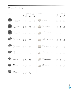| Description |                                            |                 |               | Dimensions  | Seat      | Description |                                  |                 |               | Dimensions    |
|-------------|--------------------------------------------|-----------------|---------------|-------------|-----------|-------------|----------------------------------|-----------------|---------------|---------------|
|             |                                            | W               | D             | $\mathsf H$ | Height    |             |                                  | W               | $\mathsf D$   | $\mathsf{H}%$ |
|             |                                            | IN              | $\sf IN$      | $\sf IN$    | $\sf IN$  |             |                                  | $\textsf{IN}{}$ | $\mathsf{IN}$ | $\sf IN$      |
|             |                                            | mm              | mm            | mm          | mm        |             |                                  | mm              | mm            | mm            |
|             | 7716                                       |                 |               |             |           |             | 7731                             |                 |               |               |
|             | Armless Corner Unit                        | 38              | 38            | 32          | 18        |             | 30" Square Coffee Table.         | 30              | 30            | 17            |
|             | Standard Back.                             |                 | 965 965       | 813         | 457       |             |                                  | 762             | 762           | 432           |
|             |                                            |                 |               |             |           |             |                                  |                 |               |               |
|             | 7717                                       |                 |               |             |           |             | 7732                             |                 |               |               |
|             | Armless Corner Unit                        | 38              | 38            | 41.5        | 18        |             | 36" Square Coffee Table.         | 36              | 36            | 17            |
|             | High Back.                                 |                 | 965 965       | 1054        | 457       |             |                                  | 914             | 914           | 432           |
|             |                                            |                 |               |             |           |             |                                  |                 |               |               |
|             | 7718                                       |                 |               |             |           |             | 7733                             |                 |               |               |
|             | Armless Corner Unit<br>Extended High Back. | 38              | 38<br>965 965 | 47<br>1194  | 18<br>457 |             | Rectangular Coffee Table.        | 40<br>1016      | 20<br>508     | 17<br>432     |
|             |                                            |                 |               |             |           |             |                                  |                 |               |               |
|             | 7725                                       |                 |               |             |           |             | 7734                             |                 |               |               |
|             | Armless Two-Seat Bench.                    | 48.5            | 28            | 17.5        |           |             | 36" Diameter Round Coffee Table. | 36              | 36            | 17            |
|             |                                            | 1232 711        |               | 445         |           |             |                                  | 914             | 914           | 432           |
|             |                                            |                 |               |             |           |             |                                  |                 |               |               |
|             | 7726                                       |                 |               |             |           |             | 7735                             |                 |               |               |
|             | Inside Curve Two-Seat<br>Bench.            | 54<br>1372 711  | 28            | 17.5<br>445 |           |             | 42" Diameter Round Coffee Table. | 42<br>1067      | 42<br>1067    | 17<br>432     |
|             |                                            |                 |               |             |           |             |                                  |                 |               |               |
|             | 7727                                       |                 |               |             |           |             | 7736                             |                 |               |               |
|             | Outside Curve Two-Seat                     | 54              | 28            | 17.5        |           |             | 36" Half Round Coffee Table.     | 36              | 18            | 17            |
|             | Bench.                                     | 1372 711        |               | 445         |           |             |                                  | 914             | 457           | 432           |
|             |                                            |                 |               |             |           |             |                                  |                 |               |               |
|             | 7728                                       |                 |               |             |           |             | 7737                             |                 |               |               |
|             | One Seat Bench.                            | 24.5            | 28<br>622 711 | 17.5<br>445 |           |             | 42" Half Round Coffee Table.     | 42<br>1067      | 21<br>533     | 17<br>432     |
|             |                                            |                 |               |             |           |             |                                  |                 |               |               |
|             |                                            |                 |               |             |           |             |                                  |                 |               |               |
|             | 7729<br>36" Round Bench.                   | 36              | 36            | 17.5        |           |             | 7738<br>Rectangular End Table.   | 15              | 26.5          | 17            |
|             |                                            |                 | 914 914       | 445         |           |             |                                  | 381             | 673           | 432           |
|             |                                            |                 |               |             |           |             |                                  |                 |               |               |
|             | 7730                                       |                 |               |             |           |             |                                  |                 |               |               |
|             | 42" Round Bench.                           | 42<br>1067 1067 | 42            | 17.5<br>445 |           |             |                                  |                 |               |               |

river  $\frac{1}{10}$   $\frac{1}{10}$ global  $\overline{10}$